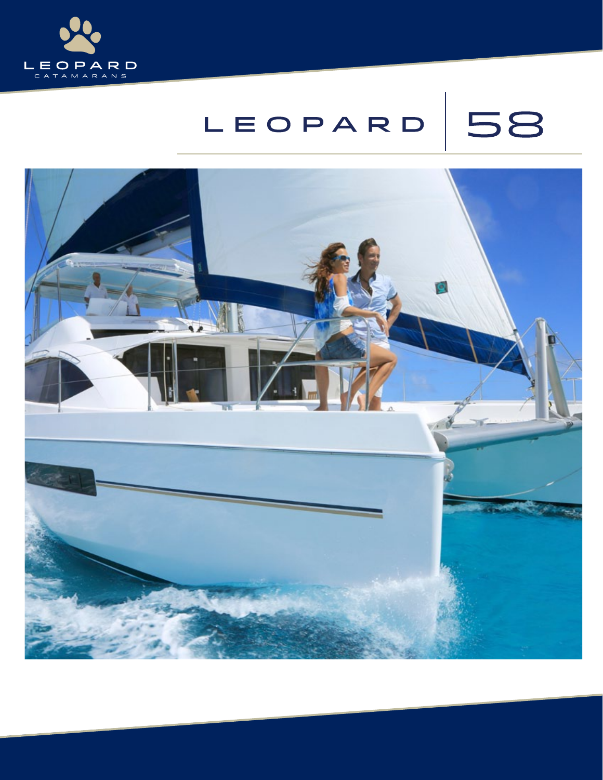

## 58 LEOPARD

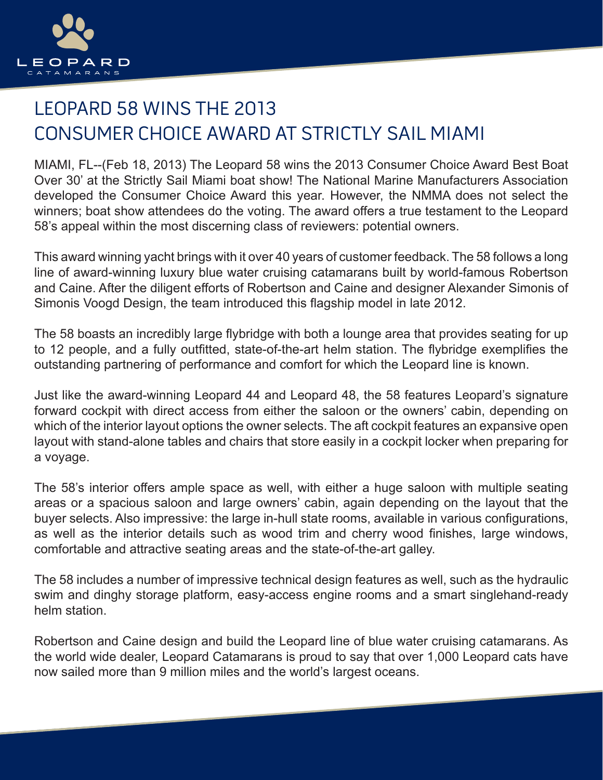

## LEOPARD 58 WINS THE 2013 CONSUMER CHOICE AWARD AT STRICTLY SAIL MIAMI

MIAMI, FL--(Feb 18, 2013) The Leopard 58 wins the 2013 Consumer Choice Award Best Boat Over 30' at the Strictly Sail Miami boat show! The National Marine Manufacturers Association developed the Consumer Choice Award this year. However, the NMMA does not select the winners; boat show attendees do the voting. The award offers a true testament to the Leopard 58's appeal within the most discerning class of reviewers: potential owners.

This award winning yacht brings with it over 40 years of customer feedback. The 58 follows a long line of award-winning luxury blue water cruising catamarans built by world-famous Robertson and Caine. After the diligent efforts of Robertson and Caine and designer Alexander Simonis of Simonis Voogd Design, the team introduced this flagship model in late 2012.

The 58 boasts an incredibly large flybridge with both a lounge area that provides seating for up to 12 people, and a fully outfitted, state-of-the-art helm station. The flybridge exemplifies the outstanding partnering of performance and comfort for which the Leopard line is known.

Just like the award-winning Leopard 44 and Leopard 48, the 58 features Leopard's signature forward cockpit with direct access from either the saloon or the owners' cabin, depending on which of the interior layout options the owner selects. The aft cockpit features an expansive open layout with stand-alone tables and chairs that store easily in a cockpit locker when preparing for a voyage.

The 58's interior offers ample space as well, with either a huge saloon with multiple seating areas or a spacious saloon and large owners' cabin, again depending on the layout that the buyer selects. Also impressive: the large in-hull state rooms, available in various configurations, as well as the interior details such as wood trim and cherry wood finishes, large windows, comfortable and attractive seating areas and the state-of-the-art galley.

The 58 includes a number of impressive technical design features as well, such as the hydraulic swim and dinghy storage platform, easy-access engine rooms and a smart singlehand-ready helm station.

Robertson and Caine design and build the Leopard line of blue water cruising catamarans. As the world wide dealer, Leopard Catamarans is proud to say that over 1,000 Leopard cats have now sailed more than 9 million miles and the world's largest oceans.